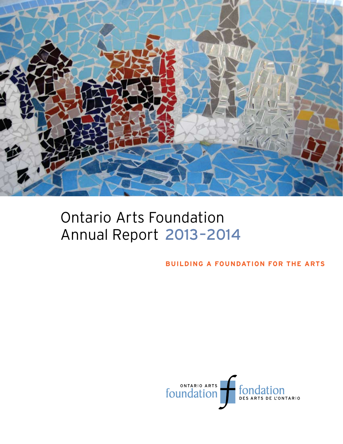

# Ontario Arts Foundation Annual Report 2013–2014

**building a foundation for the arts**

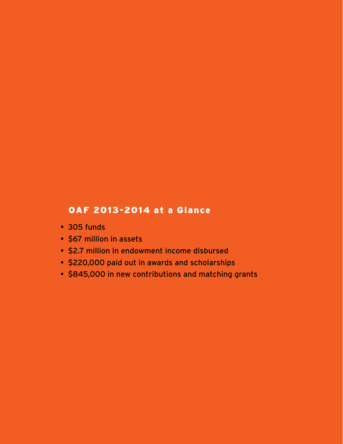# OAF 2013-2014 at a Glance

- 305 funds
- \$67 million in assets
- \$2.7 million in endowment income disbursed
- \$220,000 paid out in awards and scholarships
- \$845,000 in new contributions and matching grants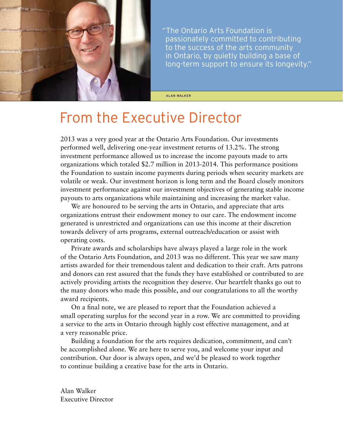

 "The Ontario Arts Foundation is passionately committed to contributing to the success of the arts community in Ontario, by quietly building a base of long-term support to ensure its longevity."

ALan Walker

# From the Executive Director

2013 was a very good year at the Ontario Arts Foundation. Our investments performed well, delivering one-year investment returns of 13.2%. The strong investment performance allowed us to increase the income payouts made to arts organizations which totaled \$2.7 million in 2013-2014. This performance positions the Foundation to sustain income payments during periods when security markets are volatile or weak. Our investment horizon is long term and the Board closely monitors investment performance against our investment objectives of generating stable income payouts to arts organizations while maintaining and increasing the market value.

We are honoured to be serving the arts in Ontario, and appreciate that arts organizations entrust their endowment money to our care. The endowment income generated is unrestricted and organizations can use this income at their discretion towards delivery of arts programs, external outreach/education or assist with operating costs.

Private awards and scholarships have always played a large role in the work of the Ontario Arts Foundation, and 2013 was no different. This year we saw many artists awarded for their tremendous talent and dedication to their craft. Arts patrons and donors can rest assured that the funds they have established or contributed to are actively providing artists the recognition they deserve. Our heartfelt thanks go out to the many donors who made this possible, and our congratulations to all the worthy award recipients.

On a final note, we are pleased to report that the Foundation achieved a small operating surplus for the second year in a row. We are committed to providing a service to the arts in Ontario through highly cost effective management, and at a very reasonable price.

Building a foundation for the arts requires dedication, commitment, and can't be accomplished alone. We are here to serve you, and welcome your input and contribution. Our door is always open, and we'd be pleased to work together to continue building a creative base for the arts in Ontario.

Alan Walker Executive Director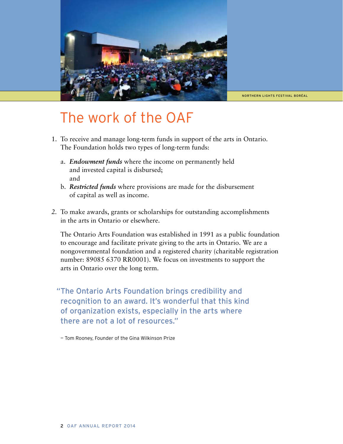

northern lights festival boréal

# The work of the OAF

- 1. To receive and manage long-term funds in support of the arts in Ontario. The Foundation holds two types of long-term funds:
	- a. *Endowment funds* where the income on permanently held and invested capital is disbursed; and
	- b. *Restricted funds* where provisions are made for the disbursement of capital as well as income.
- To make awards, grants or scholarships for outstanding accomplishments *2.* in the arts in Ontario or elsewhere.

The Ontario Arts Foundation was established in 1991 as a public foundation to encourage and facilitate private giving to the arts in Ontario. We are a nongovernmental foundation and a registered charity (charitable registration number: 89085 6370 RR0001). We focus on investments to support the arts in Ontario over the long term.

 "The Ontario Arts Foundation brings credibility and recognition to an award. It's wonderful that this kind of organization exists, especially in the arts where there are not a lot of resources."

— Tom Rooney, Founder of the Gina Wilkinson Prize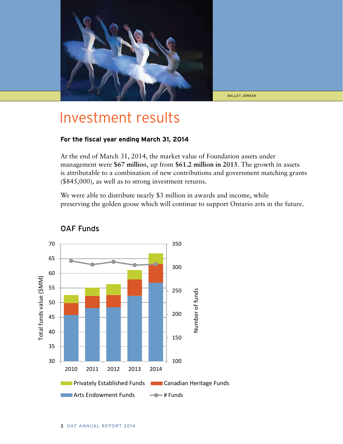

ballet jörgen

# Investment results

### **For the fiscal year ending March 31, 2014**

At the end of March 31, 2014, the market value of Foundation assets under management were **\$67 millio**n, up from **\$61.2 million in 2013**. The growth in assets is attributable to a combination of new contributions and government matching grants (\$845,000), as well as to strong investment returns.

We were able to distribute nearly \$3 million in awards and income, while preserving the golden goose which will continue to support Ontario arts in the future.



# OAF Funds OAF Funds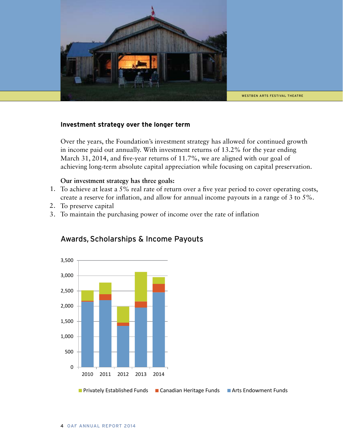

WESTBEN ARTS FESTIVAL THEATRE

# **Investment strategy over the longer term**

Over the years, the Foundation's investment strategy has allowed for continued growth in income paid out annually. With investment returns of 13.2% for the year ending March 31, 2014, and five-year returns of 11.7%, we are aligned with our goal of achieving long-term absolute capital appreciation while focusing on capital preservation.

### **Our investment strategy has three goals:**

- 1. To achieve at least a 5% real rate of return over a five year period to cover operating costs, create a reserve for inflation, and allow for annual income payouts in a range of 3 to 5%.
- 2. To preserve capital
- 3. To maintain the purchasing power of income over the rate of inflation



# Awards, Scholarships & Income Payouts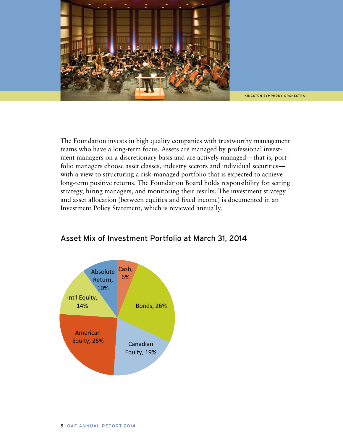

kingston symphony orchestra

The Foundation invests in high quality companies with trustworthy management teams who have a long-term focus. Assets are managed by professional investment managers on a discretionary basis and are actively managed—that is, portfolio managers choose asset classes, industry sectors and individual securities with a view to structuring a risk-managed portfolio that is expected to achieve long-term positive returns. The Foundation Board holds responsibility for setting strategy, hiring managers, and monitoring their results. The investment strategy and asset allocation (between equities and fixed income) is documented in an Investment Policy Statement, which is reviewed annually.



# Asset Mix of Investment Portfolio at March 31, 2014 Asset Mix of Investment Portfolio at March 31, 2014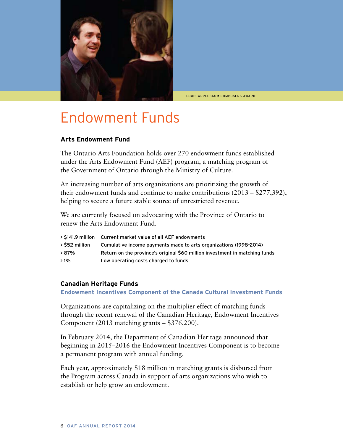

Louis applebaum composers award

# Endowment Funds

### **Arts Endowment Fund**

The Ontario Arts Foundation holds over 270 endowment funds established under the Arts Endowment Fund (AEF) program, a matching program of the Government of Ontario through the Ministry of Culture.

An increasing number of arts organizations are prioritizing the growth of their endowment funds and continue to make contributions (2013 – \$277,392), helping to secure a future stable source of unrestricted revenue.

We are currently focused on advocating with the Province of Ontario to renew the Arts Endowment Fund.

|                | > \$141.9 million Current market value of all AEF endowments                |
|----------------|-----------------------------------------------------------------------------|
| > \$52 million | Cumulative income payments made to arts organizations (1998-2014)           |
| ↑87%           | Return on the province's original \$60 million investment in matching funds |
| $>1\%$         | Low operating costs charged to funds                                        |

## **Canadian Heritage Funds**

**Endowment Incentives Component of the Canada Cultural Investment Funds**

Organizations are capitalizing on the multiplier effect of matching funds through the recent renewal of the Canadian Heritage, Endowment Incentives Component (2013 matching grants – \$376,200).

In February 2014, the Department of Canadian Heritage announced that beginning in 2015–2016 the Endowment Incentives Component is to become a permanent program with annual funding.

Each year, approximately \$18 million in matching grants is disbursed from the Program across Canada in support of arts organizations who wish to establish or help grow an endowment.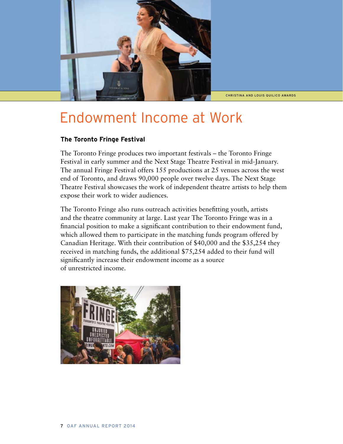

Christina and Louis Quilico Awards

# Endowment Income at Work

# **The Toronto Fringe Festival**

The Toronto Fringe produces two important festivals – the Toronto Fringe Festival in early summer and the Next Stage Theatre Festival in mid-January. The annual Fringe Festival offers 155 productions at 25 venues across the west end of Toronto, and draws 90,000 people over twelve days. The Next Stage Theatre Festival showcases the work of independent theatre artists to help them expose their work to wider audiences.

The Toronto Fringe also runs outreach activities benefitting youth, artists and the theatre community at large. Last year The Toronto Fringe was in a financial position to make a significant contribution to their endowment fund, which allowed them to participate in the matching funds program offered by Canadian Heritage. With their contribution of \$40,000 and the \$35,254 they received in matching funds, the additional \$75,254 added to their fund will significantly increase their endowment income as a source of unrestricted income.

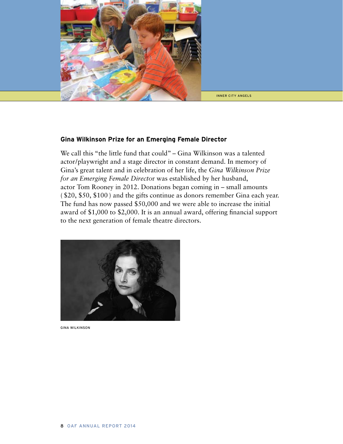

#### inner city angels

### **Gina Wilkinson Prize for an Emerging Female Director**

We call this "the little fund that could" – Gina Wilkinson was a talented actor/playwright and a stage director in constant demand. In memory of Gina's great talent and in celebration of her life, the *Gina Wilkinson Prize for an Emerging Female Directo*r was established by her husband, actor Tom Rooney in 2012. Donations began coming in – small amounts ( \$20, \$50, \$100 ) and the gifts continue as donors remember Gina each year. The fund has now passed \$50,000 and we were able to increase the initial award of \$1,000 to \$2,000. It is an annual award, offering financial support to the next generation of female theatre directors.



Gina Wilkinson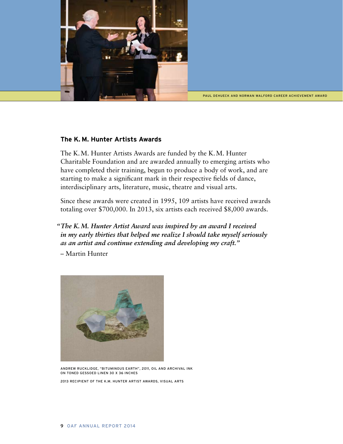

PAUL DEHUECK AND NORMAN WALFORD CAREER ACHIEVEMENT AWARD

### **The K. M. Hunter Artists Awards**

The K. M. Hunter Artists Awards are funded by the K. M. Hunter Charitable Foundation and are awarded annually to emerging artists who have completed their training, begun to produce a body of work, and are starting to make a significant mark in their respective fields of dance, interdisciplinary arts, literature, music, theatre and visual arts.

Since these awards were created in 1995, 109 artists have received awards totaling over \$700,000. In 2013, six artists each received \$8,000 awards.

 *"The K. M. Hunter Artist Award was inspired by an award I received in my early thirties that helped me realize I should take myself seriously as an artist and continue extending and developing my craft."*

– Martin Hunter



Andrew Rucklidge, "Bituminous Earth", 2011, oil and archival ink on toned gessoed linen 30 x 36 inches 2013 recipient of the K.M. Hunter Artist Awards, Visual Arts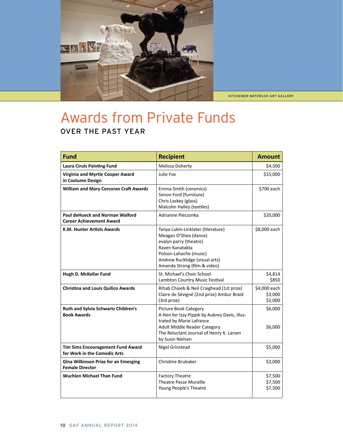

kitchener-waterloo art gallery

# Awards from Private Funds Over the Past Year

| <b>Fund</b>                                                               | <b>Recipient</b>                                                                                                                                                                                          | <b>Amount</b>                      |
|---------------------------------------------------------------------------|-----------------------------------------------------------------------------------------------------------------------------------------------------------------------------------------------------------|------------------------------------|
| <b>Laura Ciruls Painting Fund</b>                                         | Melissa Doherty                                                                                                                                                                                           | \$4,500                            |
| Virginia and Myrtle Cooper Award<br>in Costume Design                     | Julie Fox                                                                                                                                                                                                 | \$15,000                           |
| <b>William and Mary Corcoran Craft Awards</b>                             | Emma Smith (ceramics)<br>Simon Ford (furniture)<br>Chris Laskey (glass)<br>Malcolm Halley (textiles)                                                                                                      | \$700 each                         |
| <b>Paul deHueck and Norman Walford</b><br><b>Career Achievement Award</b> | Adrianne Pieczonka                                                                                                                                                                                        | \$20,000                           |
| K.M. Hunter Artists Awards                                                | Tanya Lukin-Linklater (literature)<br>Meagan O'Shea (dance)<br>evalyn parry (theatre)<br>Raven Kanatakta<br>Polson-Lahache (music)<br>Andrew Rucklidge (visual arts)<br>Amanda Strong (film & video)      | \$8,000 each                       |
| Hugh D. McKellar Fund                                                     | St. Michael's Choir School<br>Lambton Country Music Festival                                                                                                                                              | \$4,814<br>\$850                   |
| <b>Christina and Louis Quilico Awards</b>                                 | Rihab Chaieb & Neil Craighead (1st prize)<br>Claire de Sévigné (2nd prize) Ambur Braid<br>(3rd prize)                                                                                                     | \$4,000 each<br>\$3,000<br>\$2,000 |
| Ruth and Sylvia Schwartz Children's<br><b>Book Awards</b>                 | <b>Picture Book Category</b><br>A Hen for Izzy Pippik by Aubrey Davis, illus-<br>trated by Marie Lafrance<br>Adult Middle Reader Category<br>The Reluctant Journal of Henry K. Larsen<br>by Susin Nielsen | \$6,000<br>\$6,000                 |
| Tim Sims Encouragement Fund Award<br>for Work in the Comedic Arts         | <b>Nigel Grinstead</b>                                                                                                                                                                                    | \$5,000                            |
| <b>Gina Wilkinson Prize for an Emerging</b><br><b>Female Director</b>     | <b>Christine Brubaker</b>                                                                                                                                                                                 | \$2,000                            |
| <b>Wuchien Michael Than Fund</b>                                          | <b>Factory Theatre</b><br><b>Theatre Passe Muraille</b><br>Young People's Theatre                                                                                                                         | \$7,500<br>\$7,500<br>\$7,500      |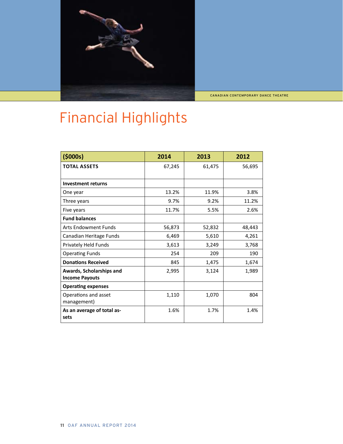

Canadian contemporary Dance THeatre

# Financial Highlights

| (5000s)                                           | 2014   | 2013   | 2012   |
|---------------------------------------------------|--------|--------|--------|
| <b>TOTAL ASSETS</b>                               | 67,245 | 61,475 | 56,695 |
| <b>Investment returns</b>                         |        |        |        |
| One year                                          | 13.2%  | 11.9%  | 3.8%   |
| Three years                                       | 9.7%   | 9.2%   | 11.2%  |
| Five years                                        | 11.7%  | 5.5%   | 2.6%   |
| <b>Fund balances</b>                              |        |        |        |
| <b>Arts Endowment Funds</b>                       | 56,873 | 52,832 | 48,443 |
| Canadian Heritage Funds                           | 6,469  | 5,610  | 4,261  |
| Privately Held Funds                              | 3,613  | 3,249  | 3,768  |
| <b>Operating Funds</b>                            | 254    | 209    | 190    |
| <b>Donations Received</b>                         | 845    | 1,475  | 1,674  |
| Awards, Scholarships and<br><b>Income Payouts</b> | 2,995  | 3,124  | 1,989  |
| <b>Operating expenses</b>                         |        |        |        |
| Operations and asset<br>management)               | 1,110  | 1,070  | 804    |
| As an average of total as-<br>sets                | 1.6%   | 1.7%   | 1.4%   |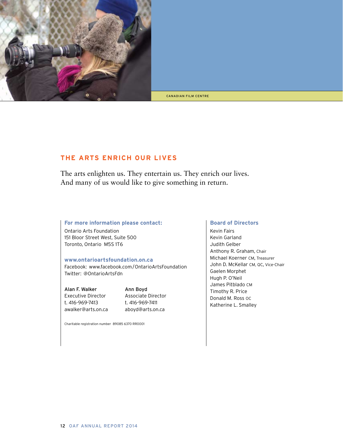

canadian film centre

# **The arts enrich our lives**

The arts enlighten us. They entertain us. They enrich our lives. And many of us would like to give something in return.

### **For more information please contact:**

Ontario Arts Foundation 151 Bloor Street West, Suite 500 Toronto, Ontario M5S 1T6

### **www.ontarioartsfoundation.on.ca**

Facebook: www.facebook.com/OntarioArtsFoundation Twitter: @OntarioArtsFdn

Alan F. Walker Ann Boyd Executive Director Associate Director t. 416-969-7413 t. 416-969-7411 awalker@arts.on.ca aboyd@arts.on.ca

Charitable registration number 89085 6370 RR0001

### **Board of Directors**

Kevin Fairs Kevin Garland Judith Gelber Anthony R. Graham, Chair Michael Koerner CM, Treasurer John D. McKellar CM, QC, Vice-Chair Gaelen Morphet Hugh P. O'Neil James Pitblado CM Timothy R. Price Donald M. Ross OC Katherine L. Smalley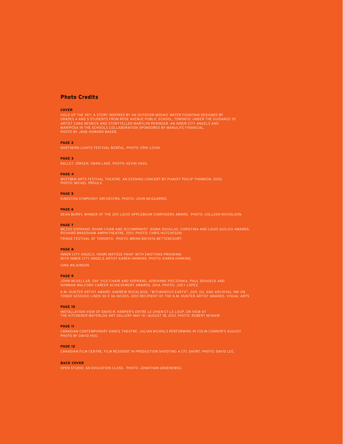### **Photo Credits**

#### **Cover**

HOLD UP THE SKY: A STORY INSPIRED BY AN OUTDOOR MOSAIC WATER FOUNTAIN DESIGNED BY<br>GRADES 4 AND 5 STUDENTS FROM ROSE AVENUE PUBLIC SCHOOL, TORONTO. UNDER THE GUIDANCE OI<br>ARTIST CARA RESNICK AND STORYTELLER MARYLYN PERINGER. photo by Jane Howard Baker.

#### **Page 2**

#### **Page 3**

Ballet Jörgen. Swan Lake. Photo: Kevin Vagg.

#### **Page 4**

Photo: Michel Proulx.

#### **Page 5**

Kingston Symphony Orchestra. Photo: John Mcquarrie.

#### **Page 6**

Dean Burry, Winner of the 2011 Louis Applebaum Composers Award. Photo: Colleen Nicholson.

#### **Page 7**

Mezzo soprano, Rihab Chiab and accompanist Jenna Douglas. Christina and Louis Quilico Awards. Richard Bradshaw Amphitheatre, 2013. Photo: Chris Hutcheson. Fringe Festival of Toronto. Photo: Brian Batista Bettencourt.

#### **Page 8**

### Gina Wilkinson

#### **Page 9**

John McKellar, OAF Vice-Chair and soprano, Adrianne Pieczonka. Paul DeHueck and Norman Walford Career Achievement Awards. 2014. Photo: Joey Lopez.

K.M. HUNTER ARTIST AWARD: ANDREW RUCKLIDGE, "BITUMINOUS EARTH", 2011, OIL AND ARCHIVAL INK ON<br>TONED GESSOED LINEN 30 X 36 INCHES, 2013 RECIPIENT OF THE K.M. HUNTER ARTIST AWARDS, VISUAL AR

#### **Page 10**

Installation view of David R. Harper's Entre le chien et le loup, on view at the Kitchener-Waterloo Art Gallery May 10 — August 18, 2013. Photo: Robert McNair

#### **Page 11**

#### **Page 12**

Canadian Film Centre. Film Resident in production shooting a CFC short. Photo: David Lee.

#### **back Cover**

Open Studio. An education class. Photo: Jonathan Groeneweg.